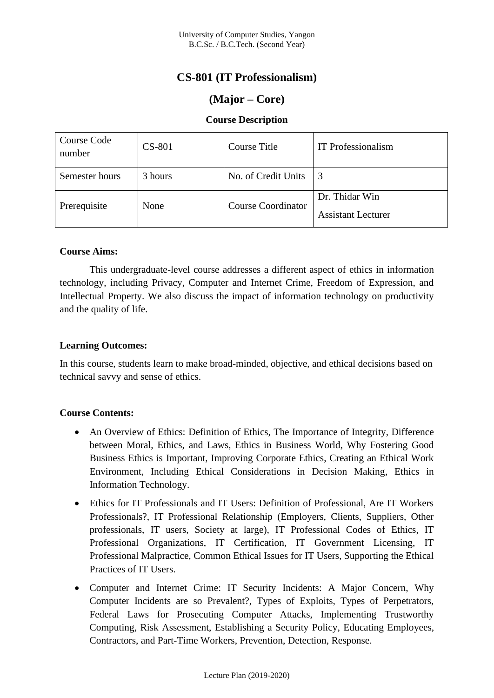# **CS-801 (IT Professionalism)**

# **(Major – Core)**

## **Course Description**

| Course Code<br>number | <b>CS-801</b> | Course Title              | <b>IT</b> Professionalism                   |
|-----------------------|---------------|---------------------------|---------------------------------------------|
| Semester hours        | 3 hours       | No. of Credit Units       | 3                                           |
| Prerequisite          | None          | <b>Course Coordinator</b> | Dr. Thidar Win<br><b>Assistant Lecturer</b> |

### **Course Aims:**

This undergraduate-level course addresses a different aspect of ethics in information technology, including Privacy, Computer and Internet Crime, Freedom of Expression, and Intellectual Property. We also discuss the impact of information technology on productivity and the quality of life.

### **Learning Outcomes:**

In this course, students learn to make broad-minded, objective, and ethical decisions based on technical savvy and sense of ethics.

## **Course Contents:**

- An Overview of Ethics: Definition of Ethics, The Importance of Integrity, Difference between Moral, Ethics, and Laws, Ethics in Business World, Why Fostering Good Business Ethics is Important, Improving Corporate Ethics, Creating an Ethical Work Environment, Including Ethical Considerations in Decision Making, Ethics in Information Technology.
- Ethics for IT Professionals and IT Users: Definition of Professional, Are IT Workers Professionals?, IT Professional Relationship (Employers, Clients, Suppliers, Other professionals, IT users, Society at large), IT Professional Codes of Ethics, IT Professional Organizations, IT Certification, IT Government Licensing, IT Professional Malpractice, Common Ethical Issues for IT Users, Supporting the Ethical Practices of IT Users.
- Computer and Internet Crime: IT Security Incidents: A Major Concern, Why Computer Incidents are so Prevalent?, Types of Exploits, Types of Perpetrators, Federal Laws for Prosecuting Computer Attacks, Implementing Trustworthy Computing, Risk Assessment, Establishing a Security Policy, Educating Employees, Contractors, and Part-Time Workers, Prevention, Detection, Response.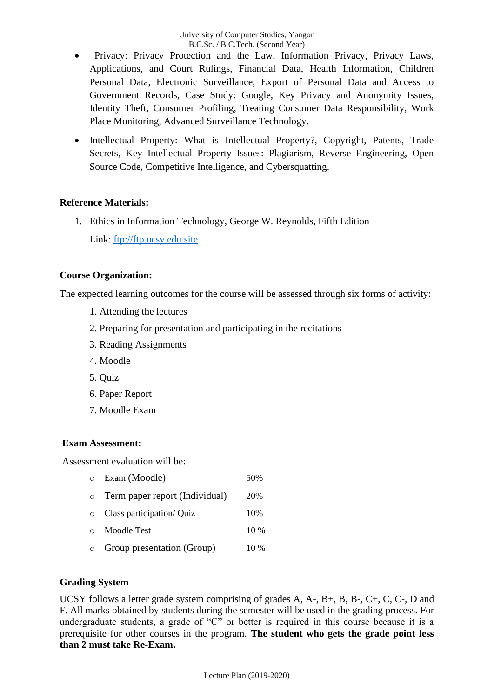- Privacy: Privacy Protection and the Law, Information Privacy, Privacy Laws, Applications, and Court Rulings, Financial Data, Health Information, Children Personal Data, Electronic Surveillance, Export of Personal Data and Access to Government Records, Case Study: Google, Key Privacy and Anonymity Issues, Identity Theft, Consumer Profiling, Treating Consumer Data Responsibility, Work Place Monitoring, Advanced Surveillance Technology.
- Intellectual Property: What is Intellectual Property?, Copyright, Patents, Trade Secrets, Key Intellectual Property Issues: Plagiarism, Reverse Engineering, Open Source Code, Competitive Intelligence, and Cybersquatting.

### **Reference Materials:**

1. Ethics in Information Technology, George W. Reynolds, Fifth Edition Link: [ftp://ftp.ucsy.edu.site](ftp://ftp.ucsy.edu.site/)

### **Course Organization:**

The expected learning outcomes for the course will be assessed through six forms of activity:

- 1. Attending the lectures
- 2. Preparing for presentation and participating in the recitations
- 3. Reading Assignments
- 4. Moodle
- 5. Quiz
- 6. Paper Report
- 7. Moodle Exam

### **Exam Assessment:**

Assessment evaluation will be:

o Exam (Moodle) 50% o Term paper report (Individual) 20% o Class participation/ Quiz 10% o Moodle Test 10 % o Group presentation (Group) 10 %

### **Grading System**

UCSY follows a letter grade system comprising of grades A, A-, B+, B, B-, C+, C, C-, D and F. All marks obtained by students during the semester will be used in the grading process. For undergraduate students, a grade of "C" or better is required in this course because it is a prerequisite for other courses in the program. **The student who gets the grade point less than 2 must take Re-Exam.**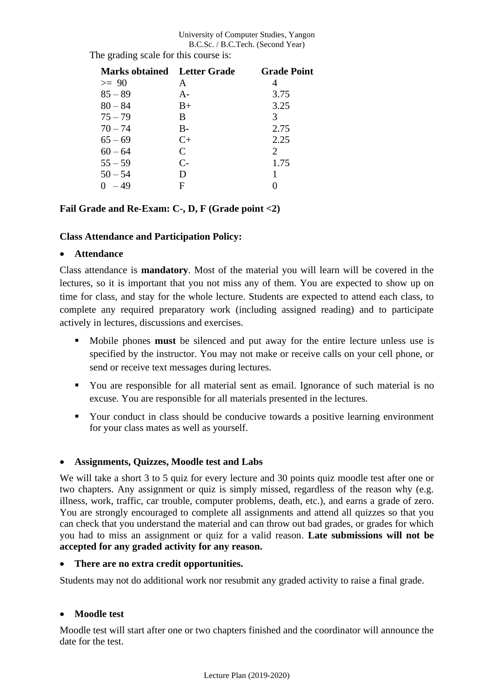#### University of Computer Studies, Yangon B.C.Sc. / B.C.Tech. (Second Year)

| <b>Marks obtained</b> Letter Grade |             | <b>Grade Point</b>          |
|------------------------------------|-------------|-----------------------------|
| $>= 90$                            | A           |                             |
| $85 - 89$                          | $A -$       | 3.75                        |
| $80 - 84$                          | $_{\rm B+}$ | 3.25                        |
| $75 - 79$                          | B           | 3                           |
| $70 - 74$                          | $B -$       | 2.75                        |
| $65 - 69$                          | $C+$        | 2.25                        |
| $60 - 64$                          | C           | $\mathcal{D}_{\mathcal{L}}$ |
| $55 - 59$                          | $C-$        | 1.75                        |
| $50 - 54$                          | D           |                             |
| $-49$                              | F           |                             |

The grading scale for this course is:

## **Fail Grade and Re-Exam: C-, D, F (Grade point <2)**

### **Class Attendance and Participation Policy:**

### • **Attendance**

Class attendance is **mandatory**. Most of the material you will learn will be covered in the lectures, so it is important that you not miss any of them. You are expected to show up on time for class, and stay for the whole lecture. Students are expected to attend each class, to complete any required preparatory work (including assigned reading) and to participate actively in lectures, discussions and exercises.

- Mobile phones **must** be silenced and put away for the entire lecture unless use is specified by the instructor. You may not make or receive calls on your cell phone, or send or receive text messages during lectures.
- You are responsible for all material sent as email. Ignorance of such material is no excuse. You are responsible for all materials presented in the lectures.
- Your conduct in class should be conducive towards a positive learning environment for your class mates as well as yourself.

## • **Assignments, Quizzes, Moodle test and Labs**

We will take a short 3 to 5 quiz for every lecture and 30 points quiz moodle test after one or two chapters. Any assignment or quiz is simply missed, regardless of the reason why (e.g. illness, work, traffic, car trouble, computer problems, death, etc.), and earns a grade of zero. You are strongly encouraged to complete all assignments and attend all quizzes so that you can check that you understand the material and can throw out bad grades, or grades for which you had to miss an assignment or quiz for a valid reason. **Late submissions will not be accepted for any graded activity for any reason.**

### • **There are no extra credit opportunities.**

Students may not do additional work nor resubmit any graded activity to raise a final grade.

## • **Moodle test**

Moodle test will start after one or two chapters finished and the coordinator will announce the date for the test.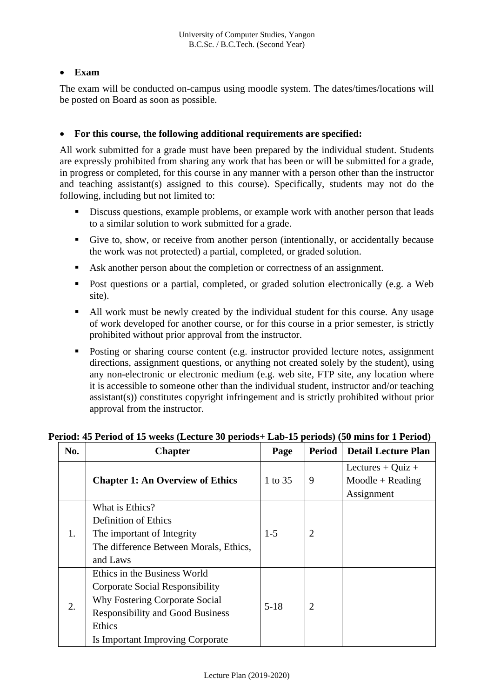# • **Exam**

The exam will be conducted on-campus using moodle system. The dates/times/locations will be posted on Board as soon as possible.

# • **For this course, the following additional requirements are specified:**

All work submitted for a grade must have been prepared by the individual student. Students are expressly prohibited from sharing any work that has been or will be submitted for a grade, in progress or completed, for this course in any manner with a person other than the instructor and teaching assistant(s) assigned to this course). Specifically, students may not do the following, including but not limited to:

- **EXECUTE:** Discuss questions, example problems, or example work with another person that leads to a similar solution to work submitted for a grade.
- Give to, show, or receive from another person (intentionally, or accidentally because the work was not protected) a partial, completed, or graded solution.
- Ask another person about the completion or correctness of an assignment.
- Post questions or a partial, completed, or graded solution electronically (e.g. a Web site).
- All work must be newly created by the individual student for this course. Any usage of work developed for another course, or for this course in a prior semester, is strictly prohibited without prior approval from the instructor.
- Posting or sharing course content (e.g. instructor provided lecture notes, assignment directions, assignment questions, or anything not created solely by the student), using any non-electronic or electronic medium (e.g. web site, FTP site, any location where it is accessible to someone other than the individual student, instructor and/or teaching assistant(s)) constitutes copyright infringement and is strictly prohibited without prior approval from the instructor.

| No. | <b>Chapter</b>                                                                                                                                                                             | Page     | <b>Period</b>  | <b>Detail Lecture Plan</b>                            |
|-----|--------------------------------------------------------------------------------------------------------------------------------------------------------------------------------------------|----------|----------------|-------------------------------------------------------|
|     | <b>Chapter 1: An Overview of Ethics</b>                                                                                                                                                    | 1 to 35  | 9              | Lectures + Quiz +<br>$Module + Reading$<br>Assignment |
| 1.  | What is Ethics?<br><b>Definition of Ethics</b><br>The important of Integrity<br>The difference Between Morals, Ethics,<br>and Laws                                                         | $1-5$    | 2              |                                                       |
| 2.  | Ethics in the Business World<br>Corporate Social Responsibility<br>Why Fostering Corporate Social<br><b>Responsibility and Good Business</b><br>Ethics<br>Is Important Improving Corporate | $5 - 18$ | $\overline{2}$ |                                                       |

## **Period: 45 Period of 15 weeks (Lecture 30 periods+ Lab-15 periods) (50 mins for 1 Period)**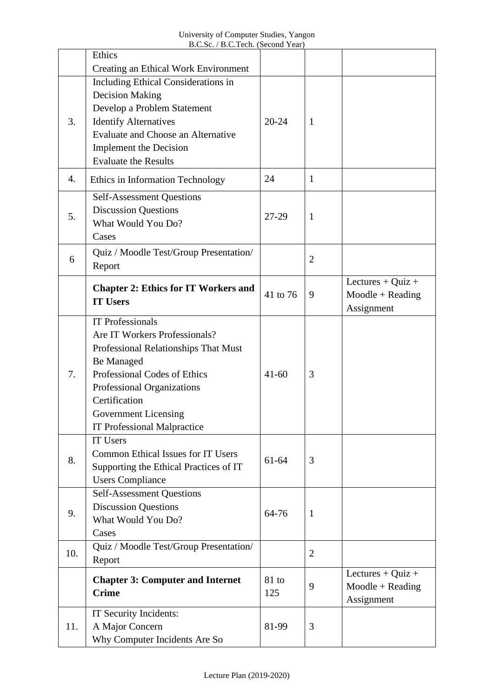|     | Ethics                                                    |           |                |                       |
|-----|-----------------------------------------------------------|-----------|----------------|-----------------------|
|     | <b>Creating an Ethical Work Environment</b>               |           |                |                       |
|     | Including Ethical Considerations in                       |           |                |                       |
|     | <b>Decision Making</b>                                    |           |                |                       |
|     | Develop a Problem Statement                               |           |                |                       |
| 3.  | <b>Identify Alternatives</b>                              | $20 - 24$ | $\mathbf{1}$   |                       |
|     | Evaluate and Choose an Alternative                        |           |                |                       |
|     | <b>Implement the Decision</b>                             |           |                |                       |
|     | <b>Evaluate the Results</b>                               |           |                |                       |
| 4.  | Ethics in Information Technology                          | 24        | $\mathbf{1}$   |                       |
|     | <b>Self-Assessment Questions</b>                          |           |                |                       |
|     | <b>Discussion Questions</b>                               |           |                |                       |
| 5.  | What Would You Do?                                        | 27-29     | $\mathbf{1}$   |                       |
|     | Cases                                                     |           |                |                       |
|     | Quiz / Moodle Test/Group Presentation/                    |           |                |                       |
| 6   | Report                                                    |           | $\overline{2}$ |                       |
|     |                                                           |           |                |                       |
|     | <b>Chapter 2: Ethics for IT Workers and</b>               | 41 to 76  |                | Lectures $+$ Quiz $+$ |
|     | <b>IT Users</b>                                           |           | 9              | $Moodle + Reading$    |
|     | <b>IT Professionals</b>                                   |           |                | Assignment            |
|     | Are IT Workers Professionals?                             |           |                |                       |
|     |                                                           |           |                |                       |
|     | Professional Relationships That Must<br><b>Be Managed</b> |           |                |                       |
| 7.  | Professional Codes of Ethics                              | $41 - 60$ | 3              |                       |
|     |                                                           |           |                |                       |
|     | Professional Organizations<br>Certification               |           |                |                       |
|     | <b>Government Licensing</b>                               |           |                |                       |
|     | <b>IT Professional Malpractice</b>                        |           |                |                       |
|     | IT Users                                                  |           |                |                       |
|     | <b>Common Ethical Issues for IT Users</b>                 | 61-64     | 3              |                       |
| 8.  | Supporting the Ethical Practices of IT                    |           |                |                       |
|     | <b>Users Compliance</b>                                   |           |                |                       |
|     | <b>Self-Assessment Questions</b>                          |           |                |                       |
|     | <b>Discussion Questions</b>                               |           |                |                       |
| 9.  | What Would You Do?                                        | 64-76     | $\mathbf{1}$   |                       |
|     | Cases                                                     |           |                |                       |
|     | Quiz / Moodle Test/Group Presentation/                    |           |                |                       |
| 10. | Report                                                    |           | $\overline{2}$ |                       |
|     |                                                           |           |                | Lectures + $Quiz +$   |
|     | <b>Chapter 3: Computer and Internet</b>                   | $81$ to   | 9              | $Moodle + Reading$    |
|     | <b>Crime</b>                                              | 125       |                | Assignment            |
|     | IT Security Incidents:                                    |           |                |                       |
| 11. | A Major Concern                                           | 81-99     | 3              |                       |
|     | Why Computer Incidents Are So                             |           |                |                       |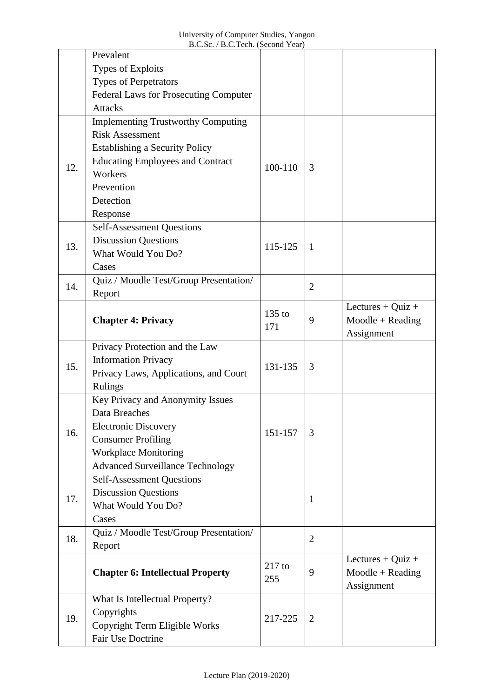|     | Prevalent                                    |          |                |                       |
|-----|----------------------------------------------|----------|----------------|-----------------------|
|     | Types of Exploits                            |          |                |                       |
|     | <b>Types of Perpetrators</b>                 |          |                |                       |
|     | <b>Federal Laws for Prosecuting Computer</b> |          |                |                       |
|     | <b>Attacks</b>                               |          |                |                       |
|     | <b>Implementing Trustworthy Computing</b>    |          |                |                       |
|     | <b>Risk Assessment</b>                       |          |                |                       |
|     | <b>Establishing a Security Policy</b>        |          |                |                       |
| 12. | <b>Educating Employees and Contract</b>      | 100-110  |                |                       |
|     | Workers                                      |          | 3              |                       |
|     | Prevention                                   |          |                |                       |
|     | Detection                                    |          |                |                       |
|     | Response                                     |          |                |                       |
|     | <b>Self-Assessment Questions</b>             |          |                |                       |
| 13. | <b>Discussion Questions</b>                  | 115-125  | $\mathbf{1}$   |                       |
|     | What Would You Do?                           |          |                |                       |
|     | Cases                                        |          |                |                       |
| 14. | Quiz / Moodle Test/Group Presentation/       |          | $\overline{2}$ |                       |
|     | Report                                       |          |                |                       |
|     | <b>Chapter 4: Privacy</b>                    | $135$ to |                | Lectures $+$ Quiz $+$ |
|     |                                              | 171      | 9              | $Moodle + Reading$    |
|     |                                              |          |                | Assignment            |
|     | Privacy Protection and the Law               |          |                |                       |
| 15. | <b>Information Privacy</b>                   | 131-135  | 3              |                       |
|     | Privacy Laws, Applications, and Court        |          |                |                       |
|     | <b>Rulings</b>                               |          |                |                       |
|     | Key Privacy and Anonymity Issues             |          |                |                       |
|     | Data Breaches                                |          |                |                       |
| 16. | <b>Electronic Discovery</b>                  | 151-157  | 3              |                       |
|     | <b>Consumer Profiling</b>                    |          |                |                       |
|     | <b>Workplace Monitoring</b>                  |          |                |                       |
|     | <b>Advanced Surveillance Technology</b>      |          |                |                       |
|     | <b>Self-Assessment Questions</b>             |          |                |                       |
| 17. | <b>Discussion Questions</b>                  |          | $\mathbf{1}$   |                       |
|     | What Would You Do?                           |          |                |                       |
|     | Cases                                        |          |                |                       |
| 18. | Quiz / Moodle Test/Group Presentation/       |          | $\overline{2}$ |                       |
|     | Report                                       |          |                |                       |
|     | <b>Chapter 6: Intellectual Property</b>      | $217$ to | 9              | Lectures + Quiz +     |
|     |                                              | 255      |                | $Moodle + Reading$    |
|     |                                              |          |                | Assignment            |
|     | What Is Intellectual Property?               |          |                |                       |
| 19. | Copyrights                                   | 217-225  | $\overline{2}$ |                       |
|     | Copyright Term Eligible Works                |          |                |                       |
|     | Fair Use Doctrine                            |          |                |                       |